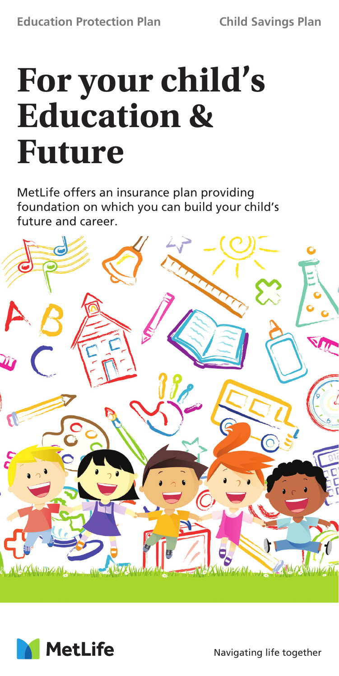## **For your child's Education & Future**

MetLife offers an insurance plan providing foundation on which you can build your child's future and career.





Navigating life together